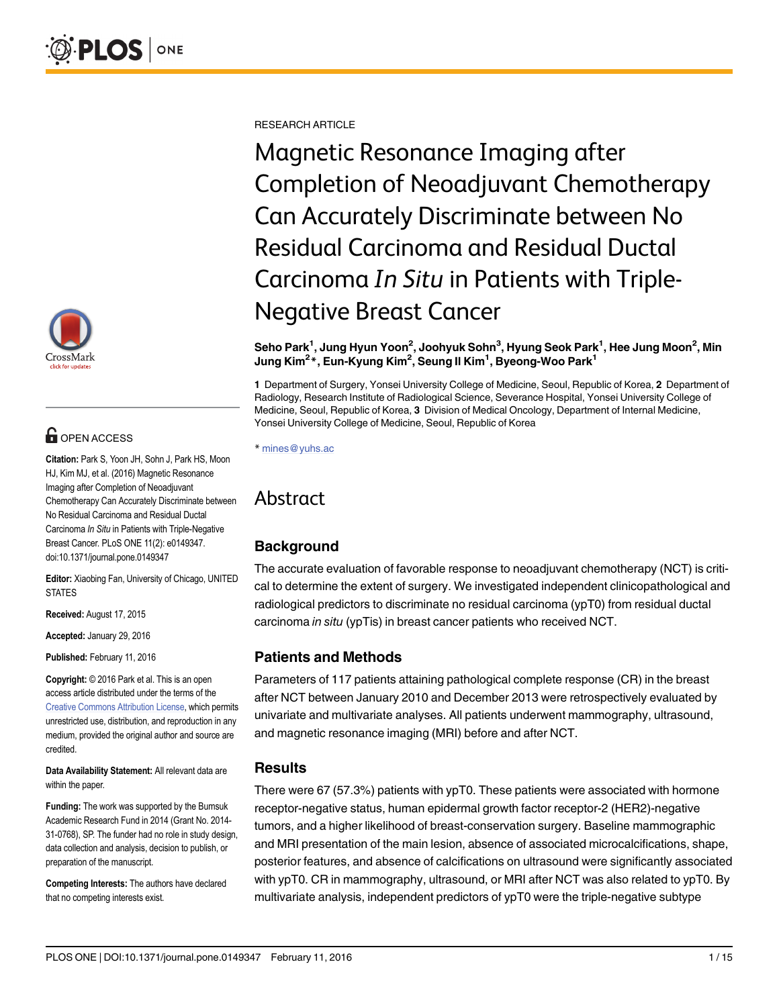

# **OPEN ACCESS**

Citation: Park S, Yoon JH, Sohn J, Park HS, Moon HJ, Kim MJ, et al. (2016) Magnetic Resonance Imaging after Completion of Neoadjuvant Chemotherapy Can Accurately Discriminate between No Residual Carcinoma and Residual Ductal Carcinoma In Situ in Patients with Triple-Negative Breast Cancer. PLoS ONE 11(2): e0149347. doi:10.1371/journal.pone.0149347

Editor: Xiaobing Fan, University of Chicago, UNITED **STATES** 

Received: August 17, 2015

Accepted: January 29, 2016

Published: February 11, 2016

Copyright: © 2016 Park et al. This is an open access article distributed under the terms of the [Creative Commons Attribution License,](http://creativecommons.org/licenses/by/4.0/) which permits unrestricted use, distribution, and reproduction in any medium, provided the original author and source are credited.

Data Availability Statement: All relevant data are within the paper.

Funding: The work was supported by the Bumsuk Academic Research Fund in 2014 (Grant No. 2014- 31-0768), SP. The funder had no role in study design, data collection and analysis, decision to publish, or preparation of the manuscript.

Competing Interests: The authors have declared that no competing interests exist.

RESEARCH ARTICLE

Magnetic Resonance Imaging after Completion of Neoadjuvant Chemotherapy Can Accurately Discriminate between No Residual Carcinoma and Residual Ductal Carcinoma In Situ in Patients with Triple-Negative Breast Cancer

Seho Park<sup>1</sup>, Jung Hyun Yoon<sup>2</sup>, Joohyuk Sohn<sup>3</sup>, Hyung Seok Park<sup>1</sup>, Hee Jung Moon<sup>2</sup>, Min Jung Kim<sup>2\*</sup>, Eun-Kyung Kim<sup>2</sup>, Seung II Kim<sup>1</sup>, Byeong-Woo Park<sup>1</sup>

1 Department of Surgery, Yonsei University College of Medicine, Seoul, Republic of Korea, 2 Department of Radiology, Research Institute of Radiological Science, Severance Hospital, Yonsei University College of Medicine, Seoul, Republic of Korea, 3 Division of Medical Oncology, Department of Internal Medicine, Yonsei University College of Medicine, Seoul, Republic of Korea

\* mines@yuhs.ac

# Abstract

# **Background**

The accurate evaluation of favorable response to neoadjuvant chemotherapy (NCT) is critical to determine the extent of surgery. We investigated independent clinicopathological and radiological predictors to discriminate no residual carcinoma (ypT0) from residual ductal carcinoma in situ (ypTis) in breast cancer patients who received NCT.

# Patients and Methods

Parameters of 117 patients attaining pathological complete response (CR) in the breast after NCT between January 2010 and December 2013 were retrospectively evaluated by univariate and multivariate analyses. All patients underwent mammography, ultrasound, and magnetic resonance imaging (MRI) before and after NCT.

# Results

There were 67 (57.3%) patients with ypT0. These patients were associated with hormone receptor-negative status, human epidermal growth factor receptor-2 (HER2)-negative tumors, and a higher likelihood of breast-conservation surgery. Baseline mammographic and MRI presentation of the main lesion, absence of associated microcalcifications, shape, posterior features, and absence of calcifications on ultrasound were significantly associated with ypT0. CR in mammography, ultrasound, or MRI after NCT was also related to ypT0. By multivariate analysis, independent predictors of ypT0 were the triple-negative subtype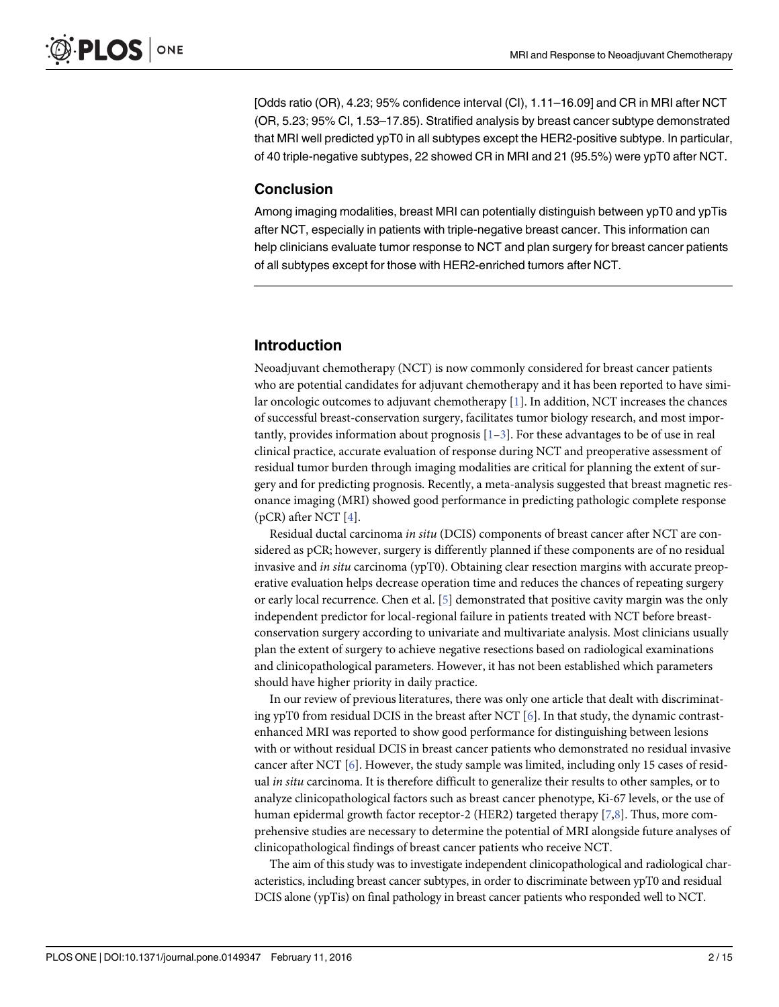<span id="page-1-0"></span>[Odds ratio (OR), 4.23; 95% confidence interval (CI), 1.11–16.09] and CR in MRI after NCT (OR, 5.23; 95% CI, 1.53–17.85). Stratified analysis by breast cancer subtype demonstrated that MRI well predicted ypT0 in all subtypes except the HER2-positive subtype. In particular, of 40 triple-negative subtypes, 22 showed CR in MRI and 21 (95.5%) were ypT0 after NCT.

### Conclusion

Among imaging modalities, breast MRI can potentially distinguish between ypT0 and ypTis after NCT, especially in patients with triple-negative breast cancer. This information can help clinicians evaluate tumor response to NCT and plan surgery for breast cancer patients of all subtypes except for those with HER2-enriched tumors after NCT.

# Introduction

Neoadjuvant chemotherapy (NCT) is now commonly considered for breast cancer patients who are potential candidates for adjuvant chemotherapy and it has been reported to have simi-lar oncologic outcomes to adjuvant chemotherapy [[1\]](#page-12-0). In addition, NCT increases the chances of successful breast-conservation surgery, facilitates tumor biology research, and most importantly, provides information about prognosis  $[1-3]$  $[1-3]$  $[1-3]$ . For these advantages to be of use in real clinical practice, accurate evaluation of response during NCT and preoperative assessment of residual tumor burden through imaging modalities are critical for planning the extent of surgery and for predicting prognosis. Recently, a meta-analysis suggested that breast magnetic resonance imaging (MRI) showed good performance in predicting pathologic complete response (pCR) after NCT [\[4\]](#page-12-0).

Residual ductal carcinoma in situ (DCIS) components of breast cancer after NCT are considered as pCR; however, surgery is differently planned if these components are of no residual invasive and *in situ* carcinoma (ypT0). Obtaining clear resection margins with accurate preoperative evaluation helps decrease operation time and reduces the chances of repeating surgery or early local recurrence. Chen et al. [[5\]](#page-12-0) demonstrated that positive cavity margin was the only independent predictor for local-regional failure in patients treated with NCT before breastconservation surgery according to univariate and multivariate analysis. Most clinicians usually plan the extent of surgery to achieve negative resections based on radiological examinations and clinicopathological parameters. However, it has not been established which parameters should have higher priority in daily practice.

In our review of previous literatures, there was only one article that dealt with discriminating ypT0 from residual DCIS in the breast after NCT  $[6]$  $[6]$ . In that study, the dynamic contrastenhanced MRI was reported to show good performance for distinguishing between lesions with or without residual DCIS in breast cancer patients who demonstrated no residual invasive cancer after NCT [\[6](#page-12-0)]. However, the study sample was limited, including only 15 cases of residual *in situ* carcinoma. It is therefore difficult to generalize their results to other samples, or to analyze clinicopathological factors such as breast cancer phenotype, Ki-67 levels, or the use of human epidermal growth factor receptor-2 (HER2) targeted therapy [\[7,8\]](#page-13-0). Thus, more comprehensive studies are necessary to determine the potential of MRI alongside future analyses of clinicopathological findings of breast cancer patients who receive NCT.

The aim of this study was to investigate independent clinicopathological and radiological characteristics, including breast cancer subtypes, in order to discriminate between ypT0 and residual DCIS alone (ypTis) on final pathology in breast cancer patients who responded well to NCT.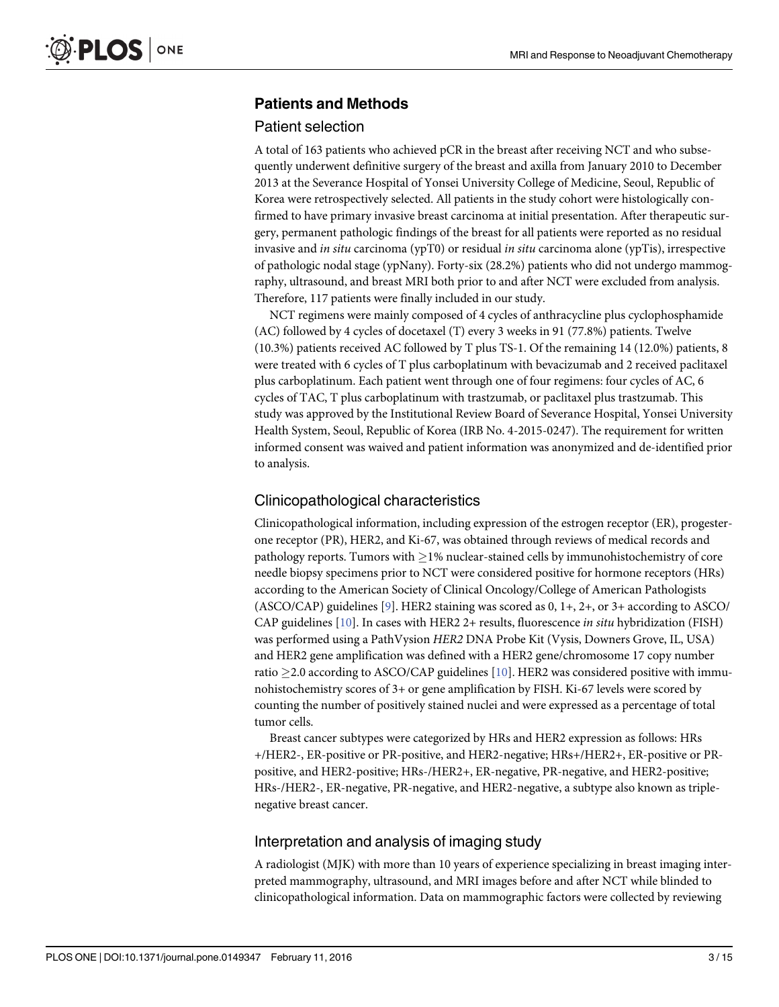# <span id="page-2-0"></span>Patients and Methods

### Patient selection

A total of 163 patients who achieved pCR in the breast after receiving NCT and who subsequently underwent definitive surgery of the breast and axilla from January 2010 to December 2013 at the Severance Hospital of Yonsei University College of Medicine, Seoul, Republic of Korea were retrospectively selected. All patients in the study cohort were histologically confirmed to have primary invasive breast carcinoma at initial presentation. After therapeutic surgery, permanent pathologic findings of the breast for all patients were reported as no residual invasive and in situ carcinoma (ypT0) or residual in situ carcinoma alone (ypTis), irrespective of pathologic nodal stage (ypNany). Forty-six (28.2%) patients who did not undergo mammography, ultrasound, and breast MRI both prior to and after NCT were excluded from analysis. Therefore, 117 patients were finally included in our study.

NCT regimens were mainly composed of 4 cycles of anthracycline plus cyclophosphamide (AC) followed by 4 cycles of docetaxel (T) every 3 weeks in 91 (77.8%) patients. Twelve (10.3%) patients received AC followed by T plus TS-1. Of the remaining 14 (12.0%) patients, 8 were treated with 6 cycles of T plus carboplatinum with bevacizumab and 2 received paclitaxel plus carboplatinum. Each patient went through one of four regimens: four cycles of AC, 6 cycles of TAC, T plus carboplatinum with trastzumab, or paclitaxel plus trastzumab. This study was approved by the Institutional Review Board of Severance Hospital, Yonsei University Health System, Seoul, Republic of Korea (IRB No. 4-2015-0247). The requirement for written informed consent was waived and patient information was anonymized and de-identified prior to analysis.

### Clinicopathological characteristics

Clinicopathological information, including expression of the estrogen receptor (ER), progesterone receptor (PR), HER2, and Ki-67, was obtained through reviews of medical records and pathology reports. Tumors with  $>1\%$  nuclear-stained cells by immunohistochemistry of core needle biopsy specimens prior to NCT were considered positive for hormone receptors (HRs) according to the American Society of Clinical Oncology/College of American Pathologists (ASCO/CAP) guidelines [[9\]](#page-13-0). HER2 staining was scored as  $0, 1+, 2+,$  or  $3+$  according to ASCO/ CAP guidelines  $[10]$ . In cases with HER2 2+ results, fluorescence in situ hybridization (FISH) was performed using a PathVysion HER2 DNA Probe Kit (Vysis, Downers Grove, IL, USA) and HER2 gene amplification was defined with a HER2 gene/chromosome 17 copy number ratio  $\geq$  2.0 according to ASCO/CAP guidelines [[10](#page-13-0)]. HER2 was considered positive with immunohistochemistry scores of 3+ or gene amplification by FISH. Ki-67 levels were scored by counting the number of positively stained nuclei and were expressed as a percentage of total tumor cells.

Breast cancer subtypes were categorized by HRs and HER2 expression as follows: HRs +/HER2-, ER-positive or PR-positive, and HER2-negative; HRs+/HER2+, ER-positive or PRpositive, and HER2-positive; HRs-/HER2+, ER-negative, PR-negative, and HER2-positive; HRs-/HER2-, ER-negative, PR-negative, and HER2-negative, a subtype also known as triplenegative breast cancer.

# Interpretation and analysis of imaging study

A radiologist (MJK) with more than 10 years of experience specializing in breast imaging interpreted mammography, ultrasound, and MRI images before and after NCT while blinded to clinicopathological information. Data on mammographic factors were collected by reviewing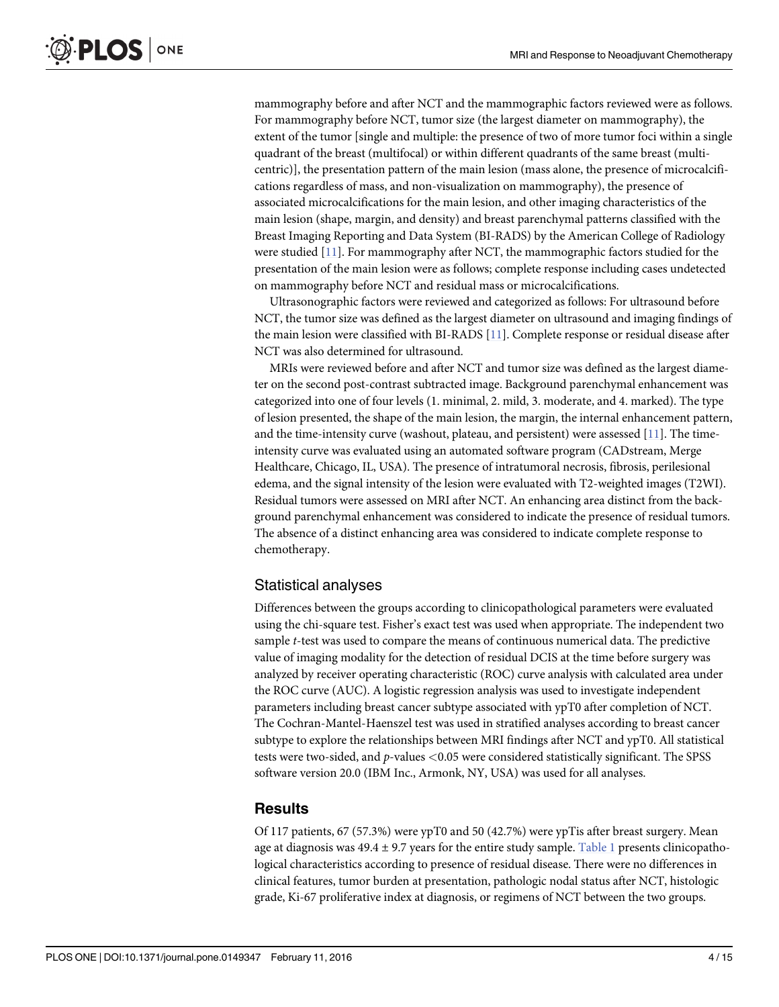<span id="page-3-0"></span>mammography before and after NCT and the mammographic factors reviewed were as follows. For mammography before NCT, tumor size (the largest diameter on mammography), the extent of the tumor [single and multiple: the presence of two of more tumor foci within a single quadrant of the breast (multifocal) or within different quadrants of the same breast (multicentric)], the presentation pattern of the main lesion (mass alone, the presence of microcalcifications regardless of mass, and non-visualization on mammography), the presence of associated microcalcifications for the main lesion, and other imaging characteristics of the main lesion (shape, margin, and density) and breast parenchymal patterns classified with the Breast Imaging Reporting and Data System (BI-RADS) by the American College of Radiology were studied [[11](#page-13-0)]. For mammography after NCT, the mammographic factors studied for the presentation of the main lesion were as follows; complete response including cases undetected on mammography before NCT and residual mass or microcalcifications.

Ultrasonographic factors were reviewed and categorized as follows: For ultrasound before NCT, the tumor size was defined as the largest diameter on ultrasound and imaging findings of the main lesion were classified with BI-RADS [\[11\]](#page-13-0). Complete response or residual disease after NCT was also determined for ultrasound.

MRIs were reviewed before and after NCT and tumor size was defined as the largest diameter on the second post-contrast subtracted image. Background parenchymal enhancement was categorized into one of four levels (1. minimal, 2. mild, 3. moderate, and 4. marked). The type of lesion presented, the shape of the main lesion, the margin, the internal enhancement pattern, and the time-intensity curve (washout, plateau, and persistent) were assessed  $[11]$ . The timeintensity curve was evaluated using an automated software program (CADstream, Merge Healthcare, Chicago, IL, USA). The presence of intratumoral necrosis, fibrosis, perilesional edema, and the signal intensity of the lesion were evaluated with T2-weighted images (T2WI). Residual tumors were assessed on MRI after NCT. An enhancing area distinct from the background parenchymal enhancement was considered to indicate the presence of residual tumors. The absence of a distinct enhancing area was considered to indicate complete response to chemotherapy.

### Statistical analyses

Differences between the groups according to clinicopathological parameters were evaluated using the chi-square test. Fisher's exact test was used when appropriate. The independent two sample t-test was used to compare the means of continuous numerical data. The predictive value of imaging modality for the detection of residual DCIS at the time before surgery was analyzed by receiver operating characteristic (ROC) curve analysis with calculated area under the ROC curve (AUC). A logistic regression analysis was used to investigate independent parameters including breast cancer subtype associated with ypT0 after completion of NCT. The Cochran-Mantel-Haenszel test was used in stratified analyses according to breast cancer subtype to explore the relationships between MRI findings after NCT and ypT0. All statistical tests were two-sided, and p-values <0.05 were considered statistically significant. The SPSS software version 20.0 (IBM Inc., Armonk, NY, USA) was used for all analyses.

# **Results**

Of 117 patients, 67 (57.3%) were ypT0 and 50 (42.7%) were ypTis after breast surgery. Mean age at diagnosis was  $49.4 \pm 9.7$  years for the entire study sample. [Table 1](#page-4-0) presents clinicopathological characteristics according to presence of residual disease. There were no differences in clinical features, tumor burden at presentation, pathologic nodal status after NCT, histologic grade, Ki-67 proliferative index at diagnosis, or regimens of NCT between the two groups.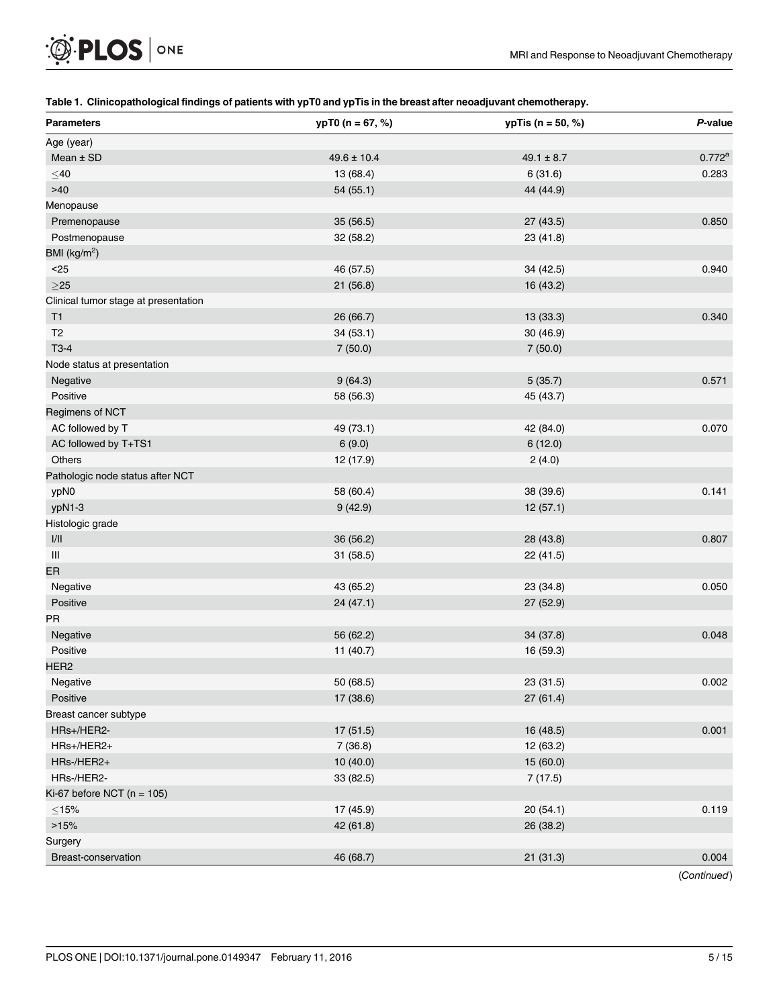# <span id="page-4-0"></span> $\mathcal{D}$  PLOS | ONE

### [Table 1.](#page-3-0) Clinicopathological findings of patients with ypT0 and ypTis in the breast after neoadjuvant chemotherapy.

| <b>Parameters</b>                                                | $ypT0(n = 67, %)$ | $ypTis (n = 50, %)$ | P-value         |
|------------------------------------------------------------------|-------------------|---------------------|-----------------|
| Age (year)                                                       |                   |                     |                 |
| Mean $±$ SD                                                      | $49.6 \pm 10.4$   | $49.1 \pm 8.7$      | $0.772^{\rm a}$ |
| $\leq$ 40                                                        | 13 (68.4)         | 6(31.6)             | 0.283           |
| $>40$                                                            | 54 (55.1)         | 44 (44.9)           |                 |
| Menopause                                                        |                   |                     |                 |
| Premenopause                                                     | 35 (56.5)         | 27(43.5)            | 0.850           |
| Postmenopause                                                    | 32 (58.2)         | 23 (41.8)           |                 |
| BMI (kg/m <sup>2</sup> )                                         |                   |                     |                 |
| $25$                                                             | 46 (57.5)         | 34 (42.5)           | 0.940           |
| $\geq$ 25                                                        | 21 (56.8)         | 16 (43.2)           |                 |
| Clinical tumor stage at presentation                             |                   |                     |                 |
| T1                                                               | 26 (66.7)         | 13 (33.3)           | 0.340           |
| T <sub>2</sub>                                                   | 34(53.1)          | 30 (46.9)           |                 |
| $T3-4$                                                           | 7(50.0)           | 7(50.0)             |                 |
| Node status at presentation                                      |                   |                     |                 |
| Negative                                                         | 9(64.3)           | 5(35.7)             | 0.571           |
| Positive                                                         | 58 (56.3)         | 45 (43.7)           |                 |
| Regimens of NCT                                                  |                   |                     |                 |
| AC followed by T                                                 | 49 (73.1)         | 42 (84.0)           | 0.070           |
| AC followed by T+TS1                                             | 6(9.0)            | 6(12.0)             |                 |
| Others                                                           | 12 (17.9)         | 2(4.0)              |                 |
| Pathologic node status after NCT                                 |                   |                     |                 |
| ypN0                                                             | 58 (60.4)         | 38 (39.6)           | 0.141           |
| ypN1-3                                                           | 9(42.9)           | 12(57.1)            |                 |
| Histologic grade                                                 |                   |                     |                 |
| $\ensuremath{\mathsf{I}}\xspace/\ensuremath{\mathsf{II}}\xspace$ | 36 (56.2)         | 28 (43.8)           | 0.807           |
| $\ensuremath{\mathsf{III}}\xspace$                               | 31 (58.5)         | 22 (41.5)           |                 |
| ER                                                               |                   |                     |                 |
| Negative                                                         | 43 (65.2)         | 23 (34.8)           | 0.050           |
| Positive                                                         | 24 (47.1)         | 27 (52.9)           |                 |
| PR                                                               |                   |                     |                 |
| Negative                                                         | 56 (62.2)         | 34 (37.8)           | 0.048           |
| Positive                                                         | 11 (40.7)         | 16 (59.3)           |                 |
| HER <sub>2</sub>                                                 |                   |                     |                 |
| Negative                                                         | 50 (68.5)         | 23 (31.5)           | 0.002           |
| Positive                                                         | 17 (38.6)         | 27(61.4)            |                 |
| Breast cancer subtype                                            |                   |                     |                 |
| HRs+/HER2-                                                       | 17 (51.5)         | 16 (48.5)           | 0.001           |
| HRs+/HER2+                                                       | 7(36.8)           | 12 (63.2)           |                 |
| HRs-/HER2+                                                       | 10 (40.0)         | 15 (60.0)           |                 |
| HRs-/HER2-                                                       | 33 (82.5)         | 7(17.5)             |                 |
| Ki-67 before NCT ( $n = 105$ )                                   |                   |                     |                 |
| $\leq$ 15%                                                       | 17 (45.9)         | 20 (54.1)           | 0.119           |
| >15%                                                             | 42 (61.8)         | 26 (38.2)           |                 |
| Surgery                                                          |                   |                     |                 |
| Breast-conservation                                              | 46 (68.7)         | 21(31.3)            | 0.004           |

(Continued)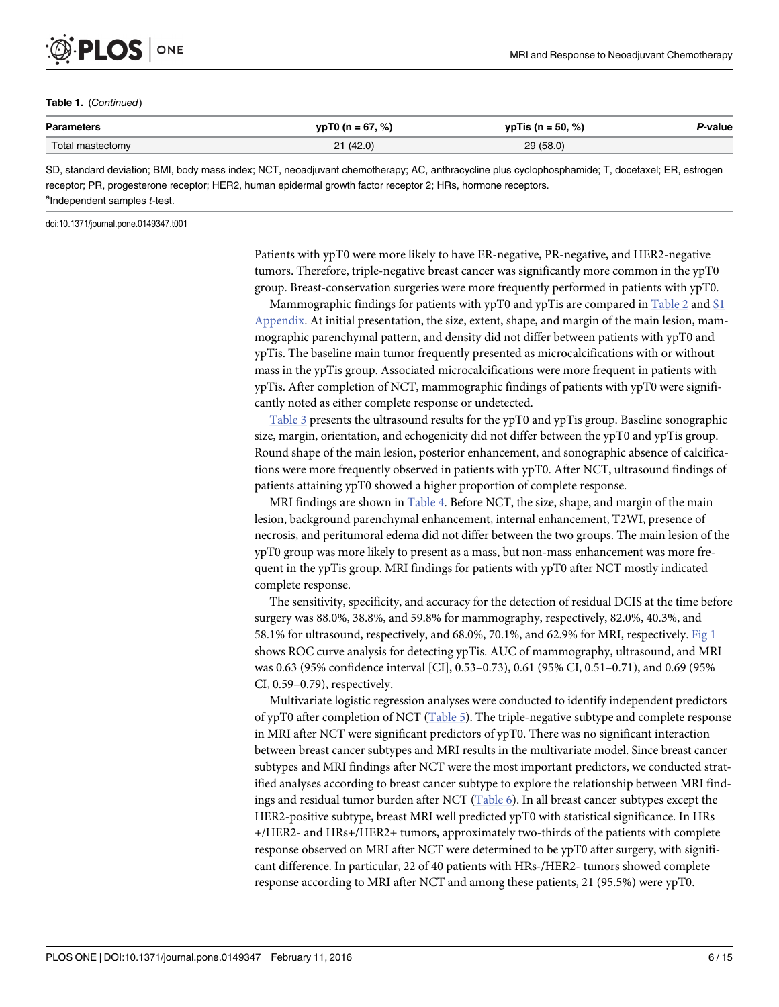<span id="page-5-0"></span>

#### Table 1. (Continued)

| <b>Parameters</b><br>. | $67, \%$        | %)<br>$\mathbf{u}$<br>Тю<br>50.<br>. | -value |
|------------------------|-----------------|--------------------------------------|--------|
| etomy                  | 21(42.0)<br>. . | / (58.0)<br>nn                       |        |

SD, standard deviation; BMI, body mass index; NCT, neoadjuvant chemotherapy; AC, anthracycline plus cyclophosphamide; T, docetaxel; ER, estrogen receptor; PR, progesterone receptor; HER2, human epidermal growth factor receptor 2; HRs, hormone receptors. <sup>a</sup>Independent samples t-test.

doi:10.1371/journal.pone.0149347.t001

Patients with ypT0 were more likely to have ER-negative, PR-negative, and HER2-negative tumors. Therefore, triple-negative breast cancer was significantly more common in the ypT0 group. Breast-conservation surgeries were more frequently performed in patients with ypT0.

Mammographic findings for patients with ypT0 and ypTis are compared in [Table 2](#page-6-0) and [S1](#page-12-0) [Appendix](#page-12-0). At initial presentation, the size, extent, shape, and margin of the main lesion, mammographic parenchymal pattern, and density did not differ between patients with ypT0 and ypTis. The baseline main tumor frequently presented as microcalcifications with or without mass in the ypTis group. Associated microcalcifications were more frequent in patients with ypTis. After completion of NCT, mammographic findings of patients with ypT0 were significantly noted as either complete response or undetected.

[Table 3](#page-7-0) presents the ultrasound results for the ypT0 and ypTis group. Baseline sonographic size, margin, orientation, and echogenicity did not differ between the ypT0 and ypTis group. Round shape of the main lesion, posterior enhancement, and sonographic absence of calcifications were more frequently observed in patients with ypT0. After NCT, ultrasound findings of patients attaining ypT0 showed a higher proportion of complete response.

MRI findings are shown in  $Table 4$ . Before NCT, the size, shape, and margin of the main lesion, background parenchymal enhancement, internal enhancement, T2WI, presence of necrosis, and peritumoral edema did not differ between the two groups. The main lesion of the ypT0 group was more likely to present as a mass, but non-mass enhancement was more frequent in the ypTis group. MRI findings for patients with ypT0 after NCT mostly indicated complete response.

The sensitivity, specificity, and accuracy for the detection of residual DCIS at the time before surgery was 88.0%, 38.8%, and 59.8% for mammography, respectively, 82.0%, 40.3%, and 58.1% for ultrasound, respectively, and 68.0%, 70.1%, and 62.9% for MRI, respectively. [Fig 1](#page-9-0) shows ROC curve analysis for detecting ypTis. AUC of mammography, ultrasound, and MRI was 0.63 (95% confidence interval [CI], 0.53–0.73), 0.61 (95% CI, 0.51–0.71), and 0.69 (95% CI, 0.59–0.79), respectively.

Multivariate logistic regression analyses were conducted to identify independent predictors of ypT0 after completion of NCT ([Table 5\)](#page-10-0). The triple-negative subtype and complete response in MRI after NCT were significant predictors of ypT0. There was no significant interaction between breast cancer subtypes and MRI results in the multivariate model. Since breast cancer subtypes and MRI findings after NCT were the most important predictors, we conducted stratified analyses according to breast cancer subtype to explore the relationship between MRI find-ings and residual tumor burden after NCT [\(Table 6\)](#page-11-0). In all breast cancer subtypes except the HER2-positive subtype, breast MRI well predicted ypT0 with statistical significance. In HRs +/HER2- and HRs+/HER2+ tumors, approximately two-thirds of the patients with complete response observed on MRI after NCT were determined to be ypT0 after surgery, with significant difference. In particular, 22 of 40 patients with HRs-/HER2- tumors showed complete response according to MRI after NCT and among these patients, 21 (95.5%) were ypT0.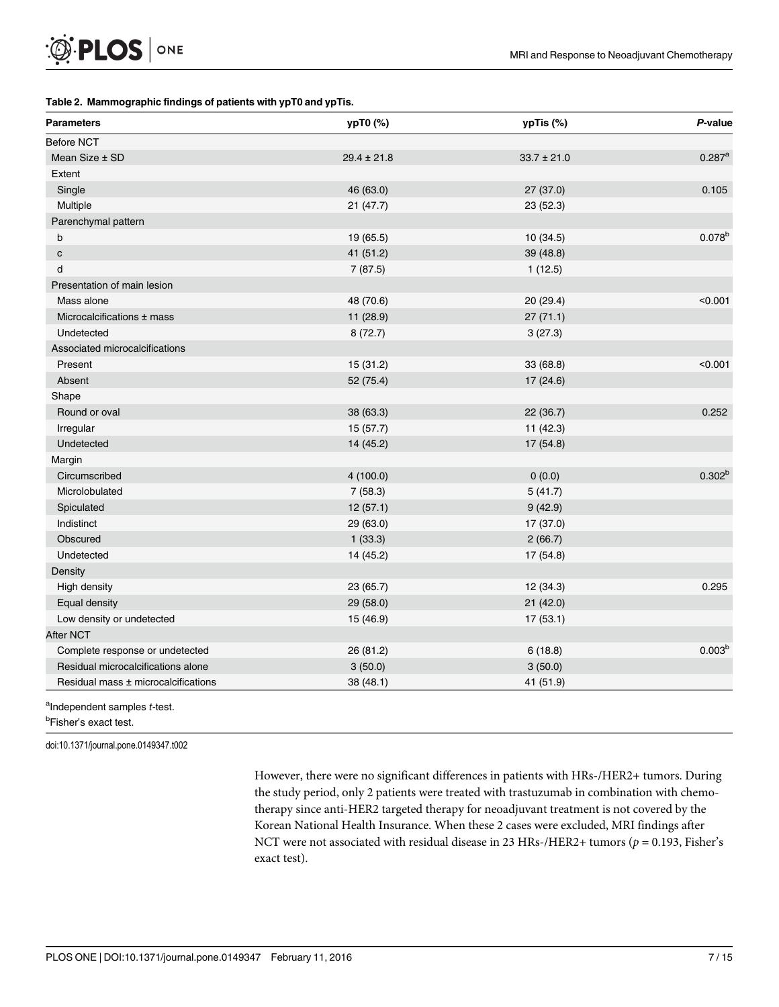### <span id="page-6-0"></span>[Table 2.](#page-5-0) Mammographic findings of patients with ypT0 and ypTis.

| <b>Parameters</b>                   | ypT0 (%)        | ypTis (%)       | P-value              |
|-------------------------------------|-----------------|-----------------|----------------------|
| <b>Before NCT</b>                   |                 |                 |                      |
| Mean Size ± SD                      | $29.4 \pm 21.8$ | $33.7 \pm 21.0$ | $0.287$ <sup>a</sup> |
| Extent                              |                 |                 |                      |
| Single                              | 46 (63.0)       | 27 (37.0)       | 0.105                |
| Multiple                            | 21 (47.7)       | 23(52.3)        |                      |
| Parenchymal pattern                 |                 |                 |                      |
| b                                   | 19 (65.5)       | 10 (34.5)       | $0.078^{b}$          |
| $\mathbf c$                         | 41 (51.2)       | 39 (48.8)       |                      |
| d                                   | 7(87.5)         | 1(12.5)         |                      |
| Presentation of main lesion         |                 |                 |                      |
| Mass alone                          | 48 (70.6)       | 20 (29.4)       | < 0.001              |
| Microcalcifications ± mass          | 11 (28.9)       | 27(71.1)        |                      |
| Undetected                          | 8(72.7)         | 3(27.3)         |                      |
| Associated microcalcifications      |                 |                 |                      |
| Present                             | 15 (31.2)       | 33 (68.8)       | < 0.001              |
| Absent                              | 52 (75.4)       | 17 (24.6)       |                      |
| Shape                               |                 |                 |                      |
| Round or oval                       | 38 (63.3)       | 22 (36.7)       | 0.252                |
| Irregular                           | 15 (57.7)       | 11(42.3)        |                      |
| Undetected                          | 14 (45.2)       | 17 (54.8)       |                      |
| Margin                              |                 |                 |                      |
| Circumscribed                       | 4(100.0)        | 0(0.0)          | $0.302^{b}$          |
| Microlobulated                      | 7(58.3)         | 5(41.7)         |                      |
| Spiculated                          | 12(57.1)        | 9(42.9)         |                      |
| Indistinct                          | 29 (63.0)       | 17 (37.0)       |                      |
| Obscured                            | 1(33.3)         | 2(66.7)         |                      |
| Undetected                          | 14 (45.2)       | 17 (54.8)       |                      |
| Density                             |                 |                 |                      |
| High density                        | 23 (65.7)       | 12 (34.3)       | 0.295                |
| Equal density                       | 29 (58.0)       | 21(42.0)        |                      |
| Low density or undetected           | 15 (46.9)       | 17(53.1)        |                      |
| After NCT                           |                 |                 |                      |
| Complete response or undetected     | 26 (81.2)       | 6(18.8)         | 0.003 <sup>b</sup>   |
| Residual microcalcifications alone  | 3(50.0)         | 3(50.0)         |                      |
| Residual mass ± microcalcifications | 38 (48.1)       | 41 (51.9)       |                      |

<sup>a</sup>Independent samples t-test.

<sup>b</sup>Fisher's exact test.

doi:10.1371/journal.pone.0149347.t002

However, there were no significant differences in patients with HRs-/HER2+ tumors. During the study period, only 2 patients were treated with trastuzumab in combination with chemotherapy since anti-HER2 targeted therapy for neoadjuvant treatment is not covered by the Korean National Health Insurance. When these 2 cases were excluded, MRI findings after NCT were not associated with residual disease in 23 HRs-/HER2+ tumors ( $p = 0.193$ , Fisher's exact test).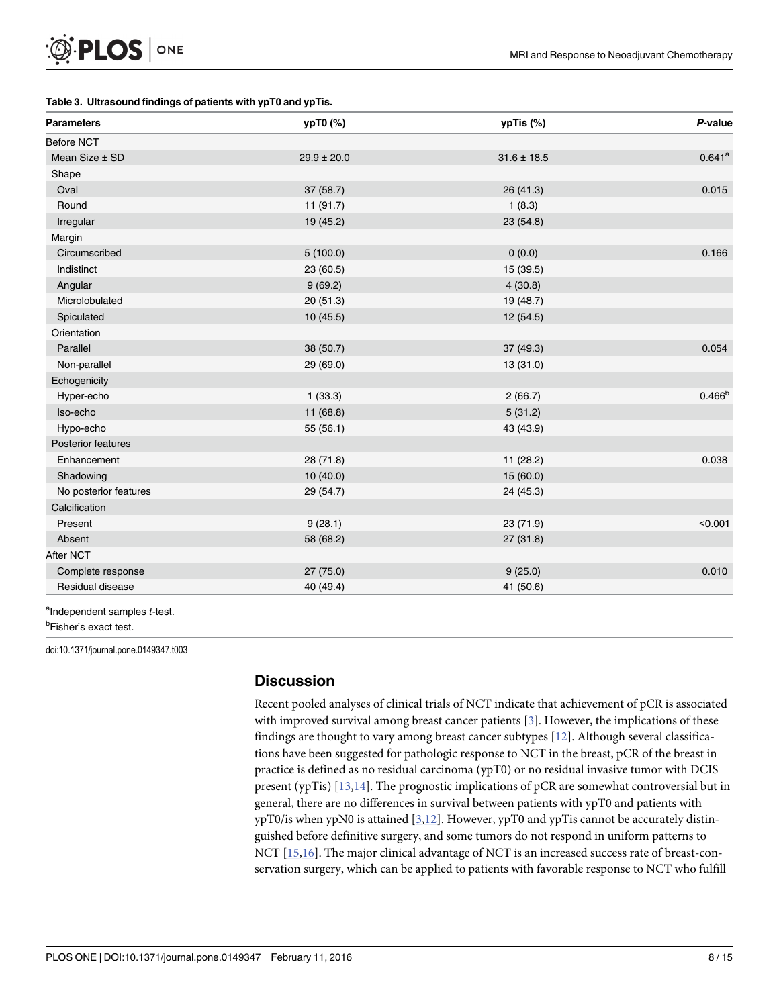### <span id="page-7-0"></span>[Table 3.](#page-5-0) Ultrasound findings of patients with ypT0 and ypTis.

| <b>Parameters</b>         | ypT0 (%)        | ypTis (%)       | P-value              |
|---------------------------|-----------------|-----------------|----------------------|
| <b>Before NCT</b>         |                 |                 |                      |
| Mean Size ± SD            | $29.9 \pm 20.0$ | $31.6 \pm 18.5$ | $0.641$ <sup>a</sup> |
| Shape                     |                 |                 |                      |
| Oval                      | 37(58.7)        | 26 (41.3)       | 0.015                |
| Round                     | 11 (91.7)       | 1(8.3)          |                      |
| Irregular                 | 19 (45.2)       | 23 (54.8)       |                      |
| Margin                    |                 |                 |                      |
| Circumscribed             | 5(100.0)        | 0(0.0)          | 0.166                |
| Indistinct                | 23 (60.5)       | 15 (39.5)       |                      |
| Angular                   | 9(69.2)         | 4(30.8)         |                      |
| Microlobulated            | 20 (51.3)       | 19 (48.7)       |                      |
| Spiculated                | 10(45.5)        | 12 (54.5)       |                      |
| Orientation               |                 |                 |                      |
| Parallel                  | 38 (50.7)       | 37(49.3)        | 0.054                |
| Non-parallel              | 29 (69.0)       | 13 (31.0)       |                      |
| Echogenicity              |                 |                 |                      |
| Hyper-echo                | 1(33.3)         | 2(66.7)         | 0.466 <sup>b</sup>   |
| Iso-echo                  | 11(68.8)        | 5(31.2)         |                      |
| Hypo-echo                 | 55(56.1)        | 43 (43.9)       |                      |
| <b>Posterior features</b> |                 |                 |                      |
| Enhancement               | 28 (71.8)       | 11 (28.2)       | 0.038                |
| Shadowing                 | 10(40.0)        | 15 (60.0)       |                      |
| No posterior features     | 29 (54.7)       | 24 (45.3)       |                      |
| Calcification             |                 |                 |                      |
| Present                   | 9(28.1)         | 23 (71.9)       | < 0.001              |
| Absent                    | 58 (68.2)       | 27(31.8)        |                      |
| After NCT                 |                 |                 |                      |
| Complete response         | 27 (75.0)       | 9(25.0)         | 0.010                |
| Residual disease          | 40 (49.4)       | 41 (50.6)       |                      |

<sup>b</sup>Fisher's exact test.

doi:10.1371/journal.pone.0149347.t003

# **Discussion**

Recent pooled analyses of clinical trials of NCT indicate that achievement of pCR is associated with improved survival among breast cancer patients [\[3\]](#page-12-0). However, the implications of these findings are thought to vary among breast cancer subtypes [\[12](#page-13-0)]. Although several classifications have been suggested for pathologic response to NCT in the breast, pCR of the breast in practice is defined as no residual carcinoma (ypT0) or no residual invasive tumor with DCIS present (ypTis)  $[13,14]$ . The prognostic implications of pCR are somewhat controversial but in general, there are no differences in survival between patients with ypT0 and patients with ypT0/is when ypN0 is attained  $[3,12]$  $[3,12]$  $[3,12]$  $[3,12]$ . However, ypT0 and ypTis cannot be accurately distinguished before definitive surgery, and some tumors do not respond in uniform patterns to NCT [[15](#page-13-0),[16](#page-13-0)]. The major clinical advantage of NCT is an increased success rate of breast-conservation surgery, which can be applied to patients with favorable response to NCT who fulfill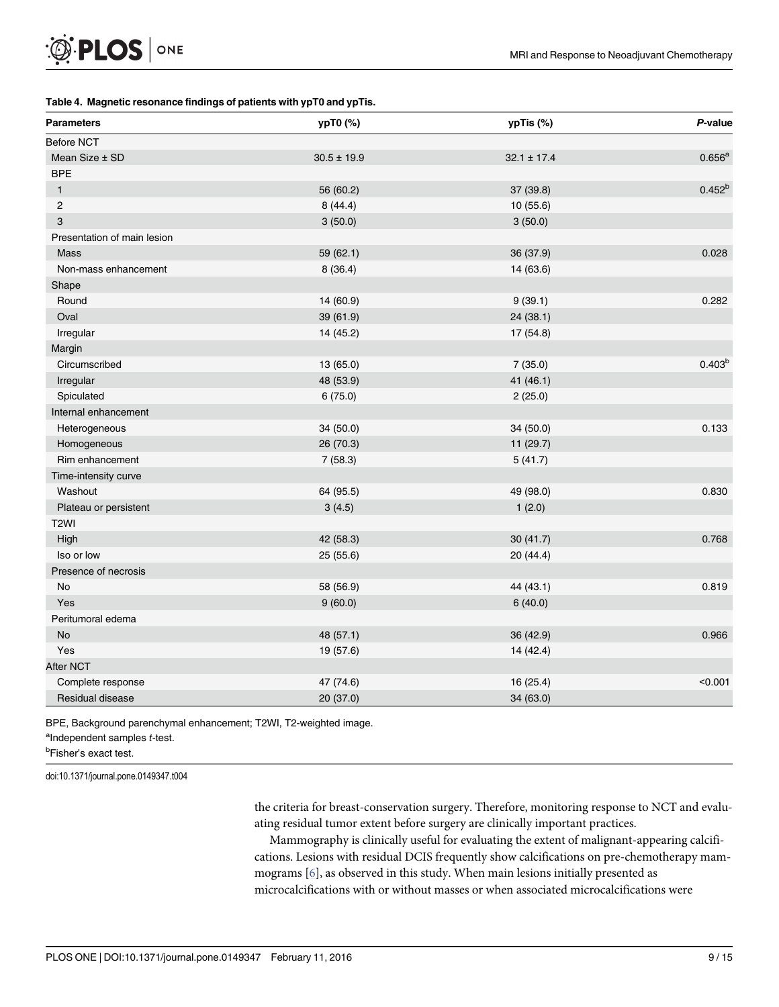### <span id="page-8-0"></span>[Table 4.](#page-5-0) Magnetic resonance findings of patients with ypT0 and ypTis.

| <b>Parameters</b>           | ypT0 (%)        | ypTis (%)       | P-value     |
|-----------------------------|-----------------|-----------------|-------------|
| <b>Before NCT</b>           |                 |                 |             |
| Mean Size ± SD              | $30.5 \pm 19.9$ | $32.1 \pm 17.4$ | $0.656^a$   |
| <b>BPE</b>                  |                 |                 |             |
| $\mathbf{1}$                | 56 (60.2)       | 37 (39.8)       | $0.452^{b}$ |
| 2                           | 8(44.4)         | 10(55.6)        |             |
| 3                           | 3(50.0)         | 3(50.0)         |             |
| Presentation of main lesion |                 |                 |             |
| Mass                        | 59 (62.1)       | 36 (37.9)       | 0.028       |
| Non-mass enhancement        | 8(36.4)         | 14 (63.6)       |             |
| Shape                       |                 |                 |             |
| Round                       | 14 (60.9)       | 9(39.1)         | 0.282       |
| Oval                        | 39 (61.9)       | 24 (38.1)       |             |
| Irregular                   | 14 (45.2)       | 17 (54.8)       |             |
| Margin                      |                 |                 |             |
| Circumscribed               | 13 (65.0)       | 7(35.0)         | $0.403^{b}$ |
| Irregular                   | 48 (53.9)       | 41 (46.1)       |             |
| Spiculated                  | 6(75.0)         | 2(25.0)         |             |
| Internal enhancement        |                 |                 |             |
| Heterogeneous               | 34 (50.0)       | 34 (50.0)       | 0.133       |
| Homogeneous                 | 26 (70.3)       | 11 (29.7)       |             |
| Rim enhancement             | 7(58.3)         | 5(41.7)         |             |
| Time-intensity curve        |                 |                 |             |
| Washout                     | 64 (95.5)       | 49 (98.0)       | 0.830       |
| Plateau or persistent       | 3(4.5)          | 1(2.0)          |             |
| T <sub>2</sub> WI           |                 |                 |             |
| High                        | 42 (58.3)       | 30(41.7)        | 0.768       |
| Iso or low                  | 25 (55.6)       | 20 (44.4)       |             |
| Presence of necrosis        |                 |                 |             |
| No                          | 58 (56.9)       | 44 (43.1)       | 0.819       |
| Yes                         | 9(60.0)         | 6(40.0)         |             |
| Peritumoral edema           |                 |                 |             |
| <b>No</b>                   | 48 (57.1)       | 36 (42.9)       | 0.966       |
| Yes                         | 19 (57.6)       | 14 (42.4)       |             |
| After NCT                   |                 |                 |             |
| Complete response           | 47 (74.6)       | 16 (25.4)       | < 0.001     |
| Residual disease            | 20 (37.0)       | 34 (63.0)       |             |

BPE, Background parenchymal enhancement; T2WI, T2-weighted image.

<sup>a</sup>Independent samples t-test.

<sup>b</sup>Fisher's exact test.

doi:10.1371/journal.pone.0149347.t004

the criteria for breast-conservation surgery. Therefore, monitoring response to NCT and evaluating residual tumor extent before surgery are clinically important practices.

Mammography is clinically useful for evaluating the extent of malignant-appearing calcifications. Lesions with residual DCIS frequently show calcifications on pre-chemotherapy mammograms [\[6\]](#page-12-0), as observed in this study. When main lesions initially presented as microcalcifications with or without masses or when associated microcalcifications were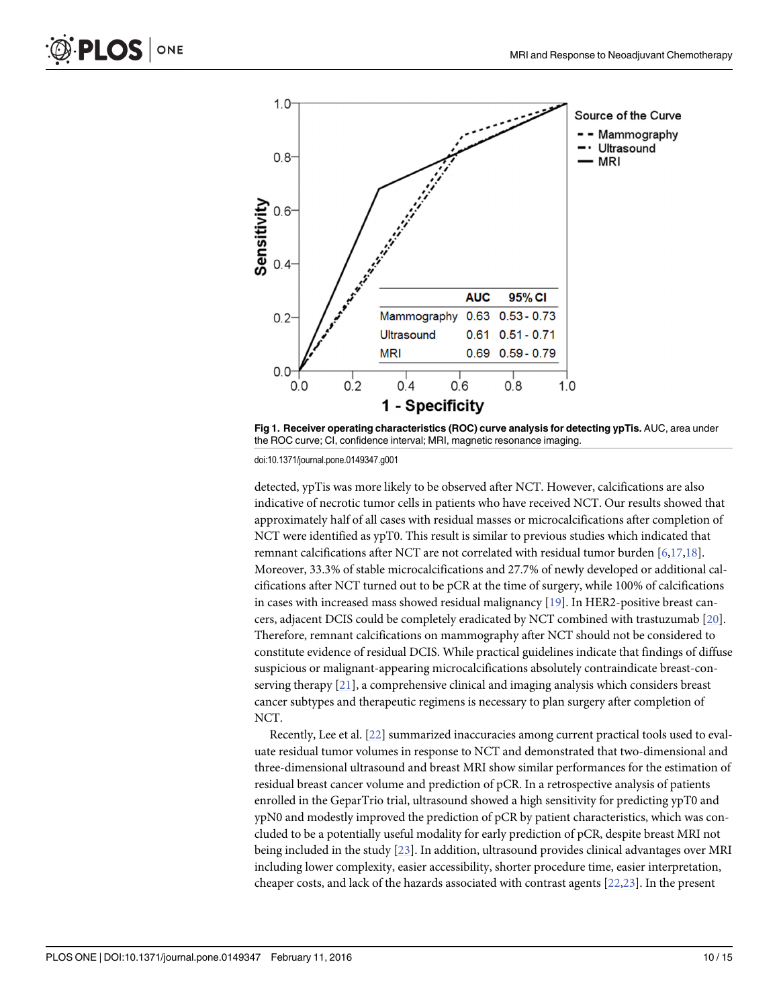<span id="page-9-0"></span>

[Fig 1. R](#page-5-0)eceiver operating characteristics (ROC) curve analysis for detecting ypTis. AUC, area under the ROC curve; CI, confidence interval; MRI, magnetic resonance imaging.

doi:10.1371/journal.pone.0149347.g001

detected, ypTis was more likely to be observed after NCT. However, calcifications are also indicative of necrotic tumor cells in patients who have received NCT. Our results showed that approximately half of all cases with residual masses or microcalcifications after completion of NCT were identified as ypT0. This result is similar to previous studies which indicated that remnant calcifications after NCT are not correlated with residual tumor burden  $[6,17,18]$  $[6,17,18]$  $[6,17,18]$ . Moreover, 33.3% of stable microcalcifications and 27.7% of newly developed or additional calcifications after NCT turned out to be pCR at the time of surgery, while 100% of calcifications in cases with increased mass showed residual malignancy [[19](#page-13-0)]. In HER2-positive breast cancers, adjacent DCIS could be completely eradicated by NCT combined with trastuzumab [[20](#page-13-0)]. Therefore, remnant calcifications on mammography after NCT should not be considered to constitute evidence of residual DCIS. While practical guidelines indicate that findings of diffuse suspicious or malignant-appearing microcalcifications absolutely contraindicate breast-conserving therapy [[21](#page-13-0)], a comprehensive clinical and imaging analysis which considers breast cancer subtypes and therapeutic regimens is necessary to plan surgery after completion of NCT.

Recently, Lee et al. [\[22\]](#page-13-0) summarized inaccuracies among current practical tools used to evaluate residual tumor volumes in response to NCT and demonstrated that two-dimensional and three-dimensional ultrasound and breast MRI show similar performances for the estimation of residual breast cancer volume and prediction of pCR. In a retrospective analysis of patients enrolled in the GeparTrio trial, ultrasound showed a high sensitivity for predicting ypT0 and ypN0 and modestly improved the prediction of pCR by patient characteristics, which was concluded to be a potentially useful modality for early prediction of pCR, despite breast MRI not being included in the study [[23\]](#page-13-0). In addition, ultrasound provides clinical advantages over MRI including lower complexity, easier accessibility, shorter procedure time, easier interpretation, cheaper costs, and lack of the hazards associated with contrast agents [\[22,23](#page-13-0)]. In the present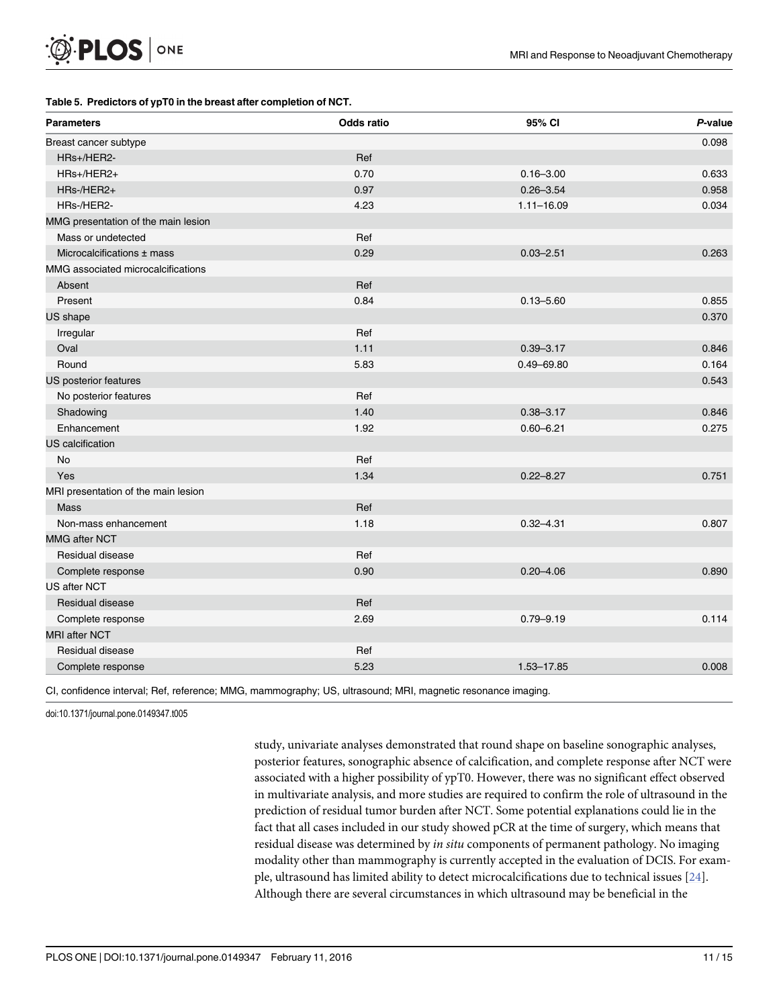### <span id="page-10-0"></span>[Table 5.](#page-5-0) Predictors of ypT0 in the breast after completion of NCT.

| <b>Parameters</b>                   | <b>Odds ratio</b> | 95% CI         | P-value |
|-------------------------------------|-------------------|----------------|---------|
| Breast cancer subtype               |                   |                | 0.098   |
| HRs+/HER2-                          | Ref               |                |         |
| HRs+/HER2+                          | 0.70              | $0.16 - 3.00$  | 0.633   |
| HRs-/HER2+                          | 0.97              | $0.26 - 3.54$  | 0.958   |
| HRs-/HER2-                          | 4.23              | $1.11 - 16.09$ | 0.034   |
| MMG presentation of the main lesion |                   |                |         |
| Mass or undetected                  | Ref               |                |         |
| Microcalcifications ± mass          | 0.29              | $0.03 - 2.51$  | 0.263   |
| MMG associated microcalcifications  |                   |                |         |
| Absent                              | Ref               |                |         |
| Present                             | 0.84              | $0.13 - 5.60$  | 0.855   |
| US shape                            |                   |                | 0.370   |
| Irregular                           | Ref               |                |         |
| Oval                                | 1.11              | $0.39 - 3.17$  | 0.846   |
| Round                               | 5.83              | $0.49 - 69.80$ | 0.164   |
| US posterior features               |                   |                | 0.543   |
| No posterior features               | Ref               |                |         |
| Shadowing                           | 1.40              | $0.38 - 3.17$  | 0.846   |
| Enhancement                         | 1.92              | $0.60 - 6.21$  | 0.275   |
| <b>US</b> calcification             |                   |                |         |
| <b>No</b>                           | Ref               |                |         |
| Yes                                 | 1.34              | $0.22 - 8.27$  | 0.751   |
| MRI presentation of the main lesion |                   |                |         |
| Mass                                | Ref               |                |         |
| Non-mass enhancement                | 1.18              | $0.32 - 4.31$  | 0.807   |
| <b>MMG after NCT</b>                |                   |                |         |
| Residual disease                    | Ref               |                |         |
| Complete response                   | 0.90              | $0.20 - 4.06$  | 0.890   |
| <b>US after NCT</b>                 |                   |                |         |
| Residual disease                    | Ref               |                |         |
| Complete response                   | 2.69              | $0.79 - 9.19$  | 0.114   |
| <b>MRI after NCT</b>                |                   |                |         |
| Residual disease                    | Ref               |                |         |
| Complete response                   | 5.23              | 1.53-17.85     | 0.008   |

CI, confidence interval; Ref, reference; MMG, mammography; US, ultrasound; MRI, magnetic resonance imaging.

doi:10.1371/journal.pone.0149347.t005

study, univariate analyses demonstrated that round shape on baseline sonographic analyses, posterior features, sonographic absence of calcification, and complete response after NCT were associated with a higher possibility of ypT0. However, there was no significant effect observed in multivariate analysis, and more studies are required to confirm the role of ultrasound in the prediction of residual tumor burden after NCT. Some potential explanations could lie in the fact that all cases included in our study showed pCR at the time of surgery, which means that residual disease was determined by *in situ* components of permanent pathology. No imaging modality other than mammography is currently accepted in the evaluation of DCIS. For example, ultrasound has limited ability to detect microcalcifications due to technical issues [[24](#page-13-0)]. Although there are several circumstances in which ultrasound may be beneficial in the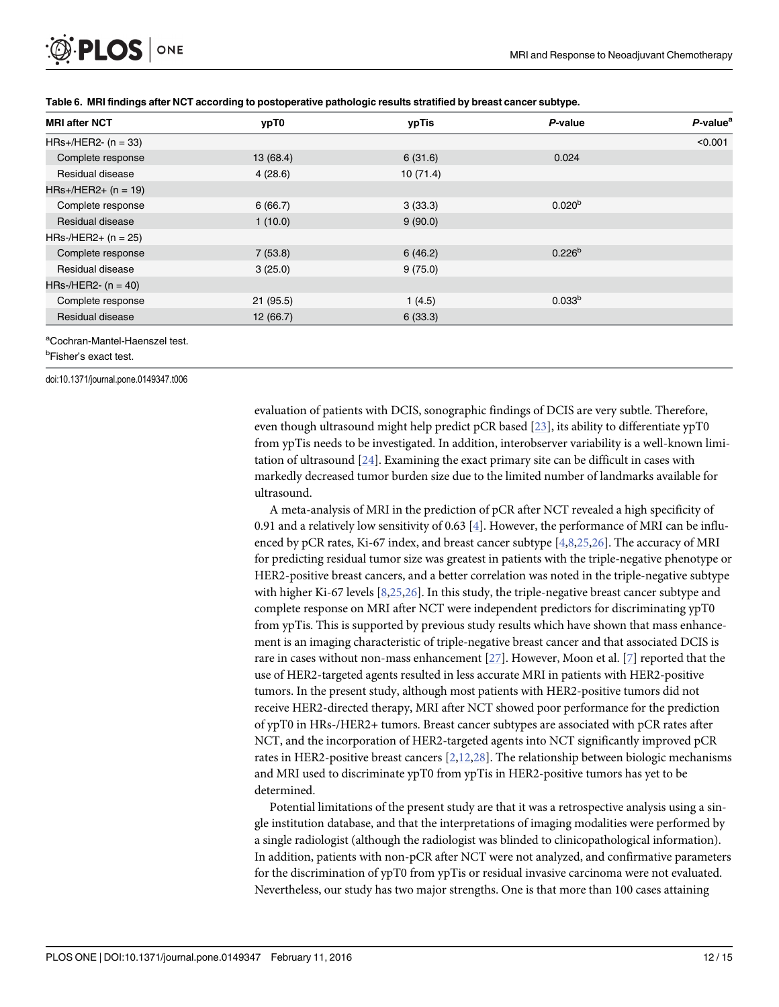<span id="page-11-0"></span>

| <b>MRI after NCT</b>                       | ypT0      | ypTis    | P-value            | $P$ -value <sup>a</sup> |
|--------------------------------------------|-----------|----------|--------------------|-------------------------|
| $HRs+/HER2-(n = 33)$                       |           |          |                    | < 0.001                 |
| Complete response                          | 13 (68.4) | 6(31.6)  | 0.024              |                         |
| Residual disease                           | 4(28.6)   | 10(71.4) |                    |                         |
| $HRs+/HER2+ (n = 19)$                      |           |          |                    |                         |
| Complete response                          | 6(66.7)   | 3(33.3)  | 0.020 <sup>b</sup> |                         |
| Residual disease                           | 1(10.0)   | 9(90.0)  |                    |                         |
| $HRs$ -/HER2+ (n = 25)                     |           |          |                    |                         |
| Complete response                          | 7(53.8)   | 6(46.2)  | $0.226^{b}$        |                         |
| Residual disease                           | 3(25.0)   | 9(75.0)  |                    |                         |
| $HRs$ -/HER2- (n = 40)                     |           |          |                    |                         |
| Complete response                          | 21(95.5)  | 1(4.5)   | 0.033 <sup>b</sup> |                         |
| Residual disease                           | 12(66.7)  | 6(33.3)  |                    |                         |
| <sup>a</sup> Cochran-Mantel-Haenszel test. |           |          |                    |                         |

[Table 6.](#page-5-0) MRI findings after NCT according to postoperative pathologic results stratified by breast cancer subtype.

<sup>b</sup>Fisher's exact test.

doi:10.1371/journal.pone.0149347.t006

evaluation of patients with DCIS, sonographic findings of DCIS are very subtle. Therefore, even though ultrasound might help predict pCR based [\[23](#page-13-0)], its ability to differentiate ypT0 from ypTis needs to be investigated. In addition, interobserver variability is a well-known limitation of ultrasound [[24](#page-13-0)]. Examining the exact primary site can be difficult in cases with markedly decreased tumor burden size due to the limited number of landmarks available for ultrasound.

A meta-analysis of MRI in the prediction of pCR after NCT revealed a high specificity of 0.91 and a relatively low sensitivity of 0.63 [[4\]](#page-12-0). However, the performance of MRI can be influenced by pCR rates, Ki-67 index, and breast cancer subtype  $[4,8,25,26]$  $[4,8,25,26]$  $[4,8,25,26]$  $[4,8,25,26]$  $[4,8,25,26]$  $[4,8,25,26]$  $[4,8,25,26]$ . The accuracy of MRI for predicting residual tumor size was greatest in patients with the triple-negative phenotype or HER2-positive breast cancers, and a better correlation was noted in the triple-negative subtype with higher Ki-67 levels  $[8,25,26]$  $[8,25,26]$  $[8,25,26]$  $[8,25,26]$  $[8,25,26]$ . In this study, the triple-negative breast cancer subtype and complete response on MRI after NCT were independent predictors for discriminating ypT0 from ypTis. This is supported by previous study results which have shown that mass enhancement is an imaging characteristic of triple-negative breast cancer and that associated DCIS is rare in cases without non-mass enhancement [\[27](#page-14-0)]. However, Moon et al. [[7\]](#page-13-0) reported that the use of HER2-targeted agents resulted in less accurate MRI in patients with HER2-positive tumors. In the present study, although most patients with HER2-positive tumors did not receive HER2-directed therapy, MRI after NCT showed poor performance for the prediction of ypT0 in HRs-/HER2+ tumors. Breast cancer subtypes are associated with pCR rates after NCT, and the incorporation of HER2-targeted agents into NCT significantly improved pCR rates in HER2-positive breast cancers  $[2,12,28]$  $[2,12,28]$  $[2,12,28]$ . The relationship between biologic mechanisms and MRI used to discriminate ypT0 from ypTis in HER2-positive tumors has yet to be determined.

Potential limitations of the present study are that it was a retrospective analysis using a single institution database, and that the interpretations of imaging modalities were performed by a single radiologist (although the radiologist was blinded to clinicopathological information). In addition, patients with non-pCR after NCT were not analyzed, and confirmative parameters for the discrimination of ypT0 from ypTis or residual invasive carcinoma were not evaluated. Nevertheless, our study has two major strengths. One is that more than 100 cases attaining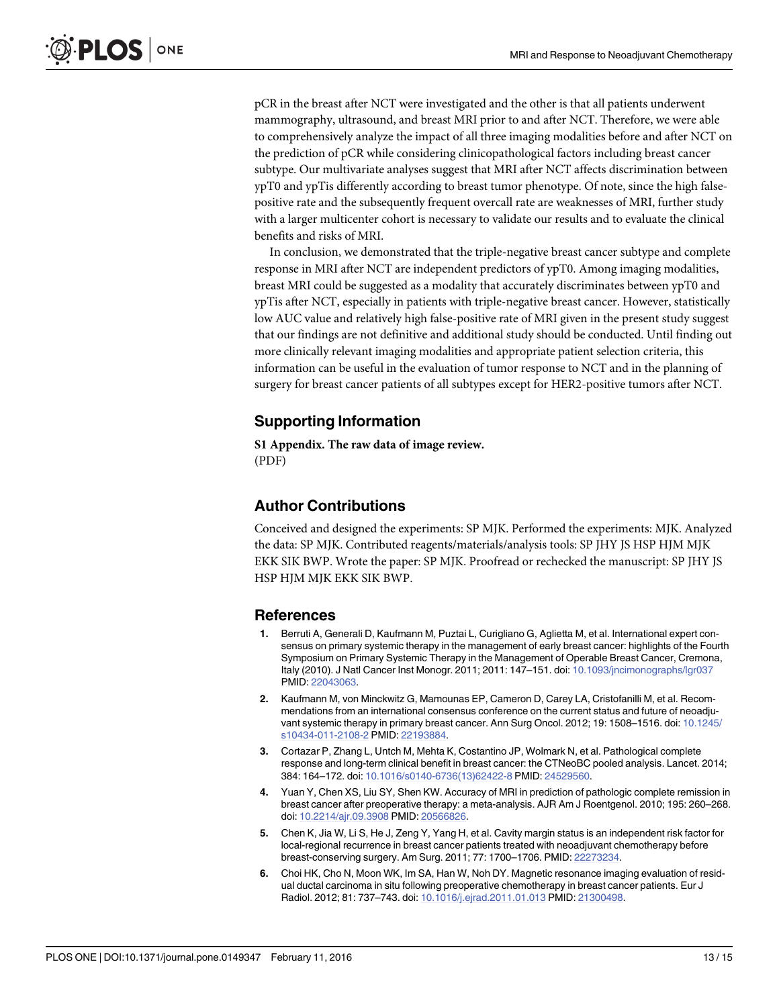<span id="page-12-0"></span>pCR in the breast after NCT were investigated and the other is that all patients underwent mammography, ultrasound, and breast MRI prior to and after NCT. Therefore, we were able to comprehensively analyze the impact of all three imaging modalities before and after NCT on the prediction of pCR while considering clinicopathological factors including breast cancer subtype. Our multivariate analyses suggest that MRI after NCT affects discrimination between ypT0 and ypTis differently according to breast tumor phenotype. Of note, since the high falsepositive rate and the subsequently frequent overcall rate are weaknesses of MRI, further study with a larger multicenter cohort is necessary to validate our results and to evaluate the clinical benefits and risks of MRI.

In conclusion, we demonstrated that the triple-negative breast cancer subtype and complete response in MRI after NCT are independent predictors of ypT0. Among imaging modalities, breast MRI could be suggested as a modality that accurately discriminates between ypT0 and ypTis after NCT, especially in patients with triple-negative breast cancer. However, statistically low AUC value and relatively high false-positive rate of MRI given in the present study suggest that our findings are not definitive and additional study should be conducted. Until finding out more clinically relevant imaging modalities and appropriate patient selection criteria, this information can be useful in the evaluation of tumor response to NCT and in the planning of surgery for breast cancer patients of all subtypes except for HER2-positive tumors after NCT.

# Supporting Information

[S1 Appendix.](http://www.plosone.org/article/fetchSingleRepresentation.action?uri=info:doi/10.1371/journal.pone.0149347.s001) The raw data of image review. (PDF)

# Author Contributions

Conceived and designed the experiments: SP MJK. Performed the experiments: MJK. Analyzed the data: SP MJK. Contributed reagents/materials/analysis tools: SP JHY JS HSP HJM MJK EKK SIK BWP. Wrote the paper: SP MJK. Proofread or rechecked the manuscript: SP JHY JS HSP HJM MJK EKK SIK BWP.

### **References**

- [1.](#page-1-0) Berruti A, Generali D, Kaufmann M, Puztai L, Curigliano G, Aglietta M, et al. International expert consensus on primary systemic therapy in the management of early breast cancer: highlights of the Fourth Symposium on Primary Systemic Therapy in the Management of Operable Breast Cancer, Cremona, Italy (2010). J Natl Cancer Inst Monogr. 2011; 2011: 147–151. doi: [10.1093/jncimonographs/lgr037](http://dx.doi.org/10.1093/jncimonographs/lgr037) PMID: [22043063.](http://www.ncbi.nlm.nih.gov/pubmed/22043063)
- [2.](#page-11-0) Kaufmann M, von Minckwitz G, Mamounas EP, Cameron D, Carey LA, Cristofanilli M, et al. Recommendations from an international consensus conference on the current status and future of neoadjuvant systemic therapy in primary breast cancer. Ann Surg Oncol. 2012; 19: 1508–1516. doi: [10.1245/](http://dx.doi.org/10.1245/s10434-011-2108-2) [s10434-011-2108-2](http://dx.doi.org/10.1245/s10434-011-2108-2) PMID: [22193884.](http://www.ncbi.nlm.nih.gov/pubmed/22193884)
- [3.](#page-1-0) Cortazar P, Zhang L, Untch M, Mehta K, Costantino JP, Wolmark N, et al. Pathological complete response and long-term clinical benefit in breast cancer: the CTNeoBC pooled analysis. Lancet. 2014; 384: 164–172. doi: [10.1016/s0140-6736\(13\)62422-8](http://dx.doi.org/10.1016/s0140-6736(13)62422-8) PMID: [24529560](http://www.ncbi.nlm.nih.gov/pubmed/24529560).
- [4.](#page-1-0) Yuan Y, Chen XS, Liu SY, Shen KW. Accuracy of MRI in prediction of pathologic complete remission in breast cancer after preoperative therapy: a meta-analysis. AJR Am J Roentgenol. 2010; 195: 260–268. doi: [10.2214/ajr.09.3908](http://dx.doi.org/10.2214/ajr.09.3908) PMID: [20566826](http://www.ncbi.nlm.nih.gov/pubmed/20566826).
- [5.](#page-1-0) Chen K, Jia W, Li S, He J, Zeng Y, Yang H, et al. Cavity margin status is an independent risk factor for local-regional recurrence in breast cancer patients treated with neoadjuvant chemotherapy before breast-conserving surgery. Am Surg. 2011; 77: 1700–1706. PMID: [22273234.](http://www.ncbi.nlm.nih.gov/pubmed/22273234)
- [6.](#page-1-0) Choi HK, Cho N, Moon WK, Im SA, Han W, Noh DY. Magnetic resonance imaging evaluation of residual ductal carcinoma in situ following preoperative chemotherapy in breast cancer patients. Eur J Radiol. 2012; 81: 737-743. doi: [10.1016/j.ejrad.2011.01.013](http://dx.doi.org/10.1016/j.ejrad.2011.01.013) PMID: [21300498.](http://www.ncbi.nlm.nih.gov/pubmed/21300498)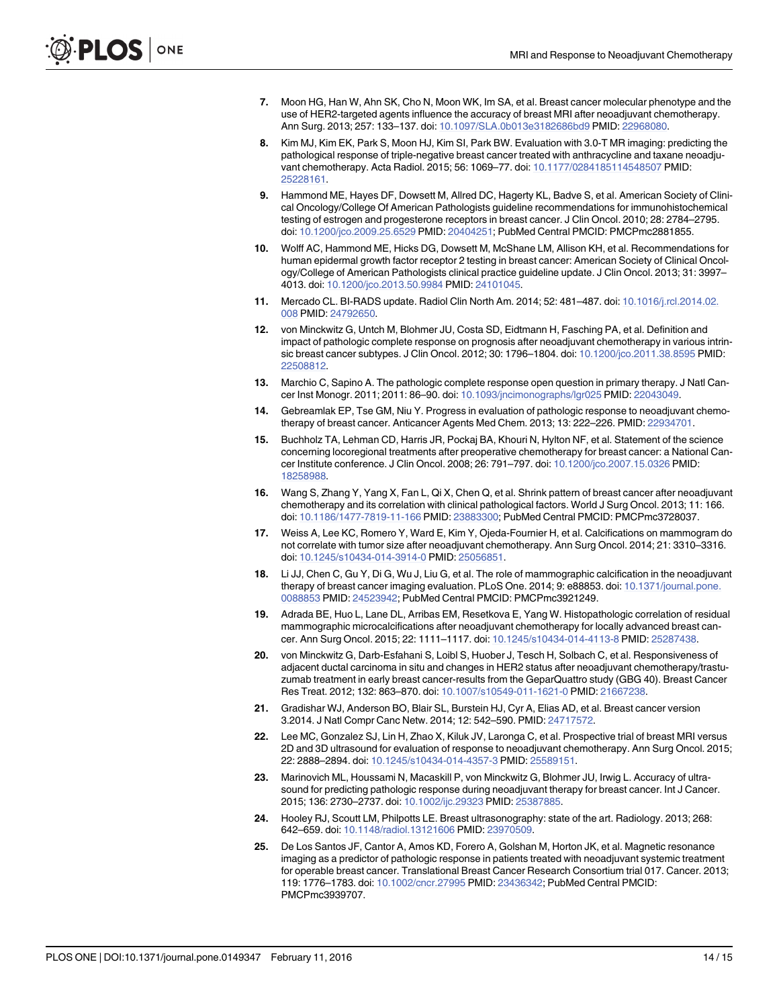- <span id="page-13-0"></span>[7.](#page-1-0) Moon HG, Han W, Ahn SK, Cho N, Moon WK, Im SA, et al. Breast cancer molecular phenotype and the use of HER2-targeted agents influence the accuracy of breast MRI after neoadjuvant chemotherapy. Ann Surg. 2013; 257: 133–137. doi: [10.1097/SLA.0b013e3182686bd9](http://dx.doi.org/10.1097/SLA.0b013e3182686bd9) PMID: [22968080](http://www.ncbi.nlm.nih.gov/pubmed/22968080).
- [8.](#page-1-0) Kim MJ, Kim EK, Park S, Moon HJ, Kim SI, Park BW. Evaluation with 3.0-T MR imaging: predicting the pathological response of triple-negative breast cancer treated with anthracycline and taxane neoadjuvant chemotherapy. Acta Radiol. 2015; 56: 1069–77. doi: [10.1177/0284185114548507](http://dx.doi.org/10.1177/0284185114548507) PMID: [25228161](http://www.ncbi.nlm.nih.gov/pubmed/25228161).
- [9.](#page-2-0) Hammond ME, Hayes DF, Dowsett M, Allred DC, Hagerty KL, Badve S, et al. American Society of Clinical Oncology/College Of American Pathologists guideline recommendations for immunohistochemical testing of estrogen and progesterone receptors in breast cancer. J Clin Oncol. 2010; 28: 2784–2795. doi: [10.1200/jco.2009.25.6529](http://dx.doi.org/10.1200/jco.2009.25.6529) PMID: [20404251](http://www.ncbi.nlm.nih.gov/pubmed/20404251); PubMed Central PMCID: PMCPmc2881855.
- [10.](#page-2-0) Wolff AC, Hammond ME, Hicks DG, Dowsett M, McShane LM, Allison KH, et al. Recommendations for human epidermal growth factor receptor 2 testing in breast cancer: American Society of Clinical Oncology/College of American Pathologists clinical practice guideline update. J Clin Oncol. 2013; 31: 3997– 4013. doi: [10.1200/jco.2013.50.9984](http://dx.doi.org/10.1200/jco.2013.50.9984) PMID: [24101045](http://www.ncbi.nlm.nih.gov/pubmed/24101045).
- [11.](#page-3-0) Mercado CL. BI-RADS update. Radiol Clin North Am. 2014; 52: 481–487. doi: [10.1016/j.rcl.2014.02.](http://dx.doi.org/10.1016/j.rcl.2014.02.008) [008](http://dx.doi.org/10.1016/j.rcl.2014.02.008) PMID: [24792650.](http://www.ncbi.nlm.nih.gov/pubmed/24792650)
- [12.](#page-7-0) von Minckwitz G, Untch M, Blohmer JU, Costa SD, Eidtmann H, Fasching PA, et al. Definition and impact of pathologic complete response on prognosis after neoadjuvant chemotherapy in various intrin-sic breast cancer subtypes. J Clin Oncol. 2012; 30: 1796-1804. doi: [10.1200/jco.2011.38.8595](http://dx.doi.org/10.1200/jco.2011.38.8595) PMID: [22508812](http://www.ncbi.nlm.nih.gov/pubmed/22508812).
- [13.](#page-7-0) Marchio C, Sapino A. The pathologic complete response open question in primary therapy. J Natl Cancer Inst Monogr. 2011; 2011: 86–90. doi: [10.1093/jncimonographs/lgr025](http://dx.doi.org/10.1093/jncimonographs/lgr025) PMID: [22043049.](http://www.ncbi.nlm.nih.gov/pubmed/22043049)
- [14.](#page-7-0) Gebreamlak EP, Tse GM, Niu Y. Progress in evaluation of pathologic response to neoadjuvant chemotherapy of breast cancer. Anticancer Agents Med Chem. 2013; 13: 222–226. PMID: [22934701](http://www.ncbi.nlm.nih.gov/pubmed/22934701).
- [15.](#page-7-0) Buchholz TA, Lehman CD, Harris JR, Pockaj BA, Khouri N, Hylton NF, et al. Statement of the science concerning locoregional treatments after preoperative chemotherapy for breast cancer: a National Cancer Institute conference. J Clin Oncol. 2008; 26: 791–797. doi: [10.1200/jco.2007.15.0326](http://dx.doi.org/10.1200/jco.2007.15.0326) PMID: [18258988](http://www.ncbi.nlm.nih.gov/pubmed/18258988).
- [16.](#page-7-0) Wang S, Zhang Y, Yang X, Fan L, Qi X, Chen Q, et al. Shrink pattern of breast cancer after neoadjuvant chemotherapy and its correlation with clinical pathological factors. World J Surg Oncol. 2013; 11: 166. doi: [10.1186/1477-7819-11-166](http://dx.doi.org/10.1186/1477-7819-11-166) PMID: [23883300;](http://www.ncbi.nlm.nih.gov/pubmed/23883300) PubMed Central PMCID: PMCPmc3728037.
- [17.](#page-9-0) Weiss A, Lee KC, Romero Y, Ward E, Kim Y, Ojeda-Fournier H, et al. Calcifications on mammogram do not correlate with tumor size after neoadjuvant chemotherapy. Ann Surg Oncol. 2014; 21: 3310–3316. doi: [10.1245/s10434-014-3914-0](http://dx.doi.org/10.1245/s10434-014-3914-0) PMID: [25056851.](http://www.ncbi.nlm.nih.gov/pubmed/25056851)
- [18.](#page-9-0) Li JJ, Chen C, Gu Y, Di G, Wu J, Liu G, et al. The role of mammographic calcification in the neoadjuvant therapy of breast cancer imaging evaluation. PLoS One. 2014; 9: e88853. doi: [10.1371/journal.pone.](http://dx.doi.org/10.1371/journal.pone.0088853) [0088853](http://dx.doi.org/10.1371/journal.pone.0088853) PMID: [24523942](http://www.ncbi.nlm.nih.gov/pubmed/24523942); PubMed Central PMCID: PMCPmc3921249.
- [19.](#page-9-0) Adrada BE, Huo L, Lane DL, Arribas EM, Resetkova E, Yang W. Histopathologic correlation of residual mammographic microcalcifications after neoadjuvant chemotherapy for locally advanced breast cancer. Ann Surg Oncol. 2015; 22: 1111–1117. doi: [10.1245/s10434-014-4113-8](http://dx.doi.org/10.1245/s10434-014-4113-8) PMID: [25287438](http://www.ncbi.nlm.nih.gov/pubmed/25287438).
- [20.](#page-9-0) von Minckwitz G, Darb-Esfahani S, Loibl S, Huober J, Tesch H, Solbach C, et al. Responsiveness of adjacent ductal carcinoma in situ and changes in HER2 status after neoadjuvant chemotherapy/trastuzumab treatment in early breast cancer-results from the GeparQuattro study (GBG 40). Breast Cancer Res Treat. 2012; 132: 863–870. doi: [10.1007/s10549-011-1621-0](http://dx.doi.org/10.1007/s10549-011-1621-0) PMID: [21667238](http://www.ncbi.nlm.nih.gov/pubmed/21667238).
- [21.](#page-9-0) Gradishar WJ, Anderson BO, Blair SL, Burstein HJ, Cyr A, Elias AD, et al. Breast cancer version 3.2014. J Natl Compr Canc Netw. 2014; 12: 542–590. PMID: [24717572](http://www.ncbi.nlm.nih.gov/pubmed/24717572).
- [22.](#page-9-0) Lee MC, Gonzalez SJ, Lin H, Zhao X, Kiluk JV, Laronga C, et al. Prospective trial of breast MRI versus 2D and 3D ultrasound for evaluation of response to neoadjuvant chemotherapy. Ann Surg Oncol. 2015; 22: 2888–2894. doi: [10.1245/s10434-014-4357-3](http://dx.doi.org/10.1245/s10434-014-4357-3) PMID: [25589151](http://www.ncbi.nlm.nih.gov/pubmed/25589151).
- [23.](#page-9-0) Marinovich ML, Houssami N, Macaskill P, von Minckwitz G, Blohmer JU, Irwig L. Accuracy of ultrasound for predicting pathologic response during neoadjuvant therapy for breast cancer. Int J Cancer. 2015; 136: 2730–2737. doi: [10.1002/ijc.29323](http://dx.doi.org/10.1002/ijc.29323) PMID: [25387885.](http://www.ncbi.nlm.nih.gov/pubmed/25387885)
- [24.](#page-10-0) Hooley RJ, Scoutt LM, Philpotts LE. Breast ultrasonography: state of the art. Radiology. 2013; 268: 642–659. doi: [10.1148/radiol.13121606](http://dx.doi.org/10.1148/radiol.13121606) PMID: [23970509](http://www.ncbi.nlm.nih.gov/pubmed/23970509).
- [25.](#page-11-0) De Los Santos JF, Cantor A, Amos KD, Forero A, Golshan M, Horton JK, et al. Magnetic resonance imaging as a predictor of pathologic response in patients treated with neoadjuvant systemic treatment for operable breast cancer. Translational Breast Cancer Research Consortium trial 017. Cancer. 2013; 119: 1776–1783. doi: [10.1002/cncr.27995](http://dx.doi.org/10.1002/cncr.27995) PMID: [23436342;](http://www.ncbi.nlm.nih.gov/pubmed/23436342) PubMed Central PMCID: PMCPmc3939707.